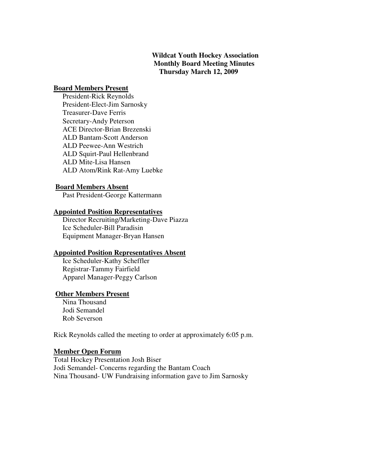# **Wildcat Youth Hockey Association Monthly Board Meeting Minutes Thursday March 12, 2009**

#### **Board Members Present**

 President-Rick Reynolds President-Elect-Jim Sarnosky Treasurer-Dave Ferris Secretary-Andy Peterson ACE Director-Brian Brezenski ALD Bantam-Scott Anderson ALD Peewee-Ann Westrich ALD Squirt-Paul Hellenbrand ALD Mite-Lisa Hansen ALD Atom/Rink Rat-Amy Luebke

#### **Board Members Absent**

Past President-George Kattermann

#### **Appointed Position Representatives**

 Director Recruiting/Marketing-Dave Piazza Ice Scheduler-Bill Paradisin Equipment Manager-Bryan Hansen

#### **Appointed Position Representatives Absent**

 Ice Scheduler-Kathy Scheffler Registrar-Tammy Fairfield Apparel Manager-Peggy Carlson

#### **Other Members Present**

 Nina Thousand Jodi Semandel Rob Severson

Rick Reynolds called the meeting to order at approximately 6:05 p.m.

### **Member Open Forum**

Total Hockey Presentation Josh Biser Jodi Semandel- Concerns regarding the Bantam Coach Nina Thousand- UW Fundraising information gave to Jim Sarnosky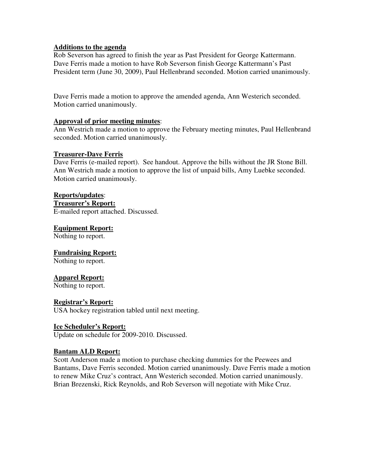## **Additions to the agenda**

Rob Severson has agreed to finish the year as Past President for George Kattermann. Dave Ferris made a motion to have Rob Severson finish George Kattermann's Past President term (June 30, 2009), Paul Hellenbrand seconded. Motion carried unanimously.

Dave Ferris made a motion to approve the amended agenda, Ann Westerich seconded. Motion carried unanimously.

### **Approval of prior meeting minutes**:

Ann Westrich made a motion to approve the February meeting minutes, Paul Hellenbrand seconded. Motion carried unanimously.

### **Treasurer-Dave Ferris**

Dave Ferris (e-mailed report). See handout. Approve the bills without the JR Stone Bill. Ann Westrich made a motion to approve the list of unpaid bills, Amy Luebke seconded. Motion carried unanimously.

## **Reports/updates**:

**Treasurer's Report:** E-mailed report attached. Discussed.

**Equipment Report:** Nothing to report.

## **Fundraising Report:**

Nothing to report.

## **Apparel Report:**

Nothing to report.

## **Registrar's Report:**

USA hockey registration tabled until next meeting.

#### **Ice Scheduler's Report:**

Update on schedule for 2009-2010. Discussed.

## **Bantam ALD Report:**

Scott Anderson made a motion to purchase checking dummies for the Peewees and Bantams, Dave Ferris seconded. Motion carried unanimously. Dave Ferris made a motion to renew Mike Cruz's contract, Ann Westerich seconded. Motion carried unanimously. Brian Brezenski, Rick Reynolds, and Rob Severson will negotiate with Mike Cruz.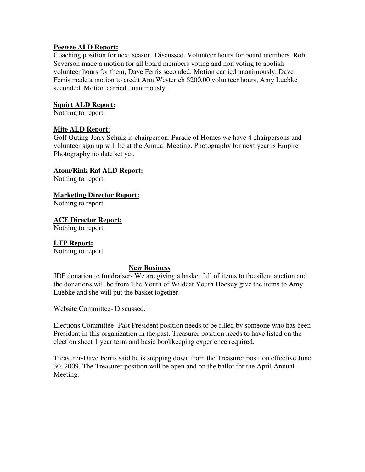# **Peewee ALD Report:**

Coaching position for next season. Discussed. Volunteer hours for board members. Rob Severson made a motion for all board members voting and non voting to abolish volunteer hours for them, Dave Ferris seconded. Motion carried unanimously. Dave Ferris made a motion to credit Ann Westerich \$200.00 volunteer hours, Amy Luebke seconded. Motion carried unanimously.

# **Squirt ALD Report:**

Nothing to report.

# **Mite ALD Report:**

Golf Outing-Jerry Schulz is chairperson. Parade of Homes we have 4 chairpersons and volunteer sign up will be at the Annual Meeting. Photography for next year is Empire Photography no date set yet.

## **Atom/Rink Rat ALD Report:**

Nothing to report.

# **Marketing Director Report:**

Nothing to report.

## **ACE Director Report:**

Nothing to report.

## **LTP Report:**

Nothing to report.

## **New Business**

JDF donation to fundraiser- We are giving a basket full of items to the silent auction and the donations will be from The Youth of Wildcat Youth Hockey give the items to Amy Luebke and she will put the basket together.

Website Committee- Discussed.

Elections Committee- Past President position needs to be filled by someone who has been President in this organization in the past. Treasurer position needs to have listed on the election sheet 1 year term and basic bookkeeping experience required.

Treasurer-Dave Ferris said he is stepping down from the Treasurer position effective June 30, 2009. The Treasurer position will be open and on the ballot for the April Annual Meeting.